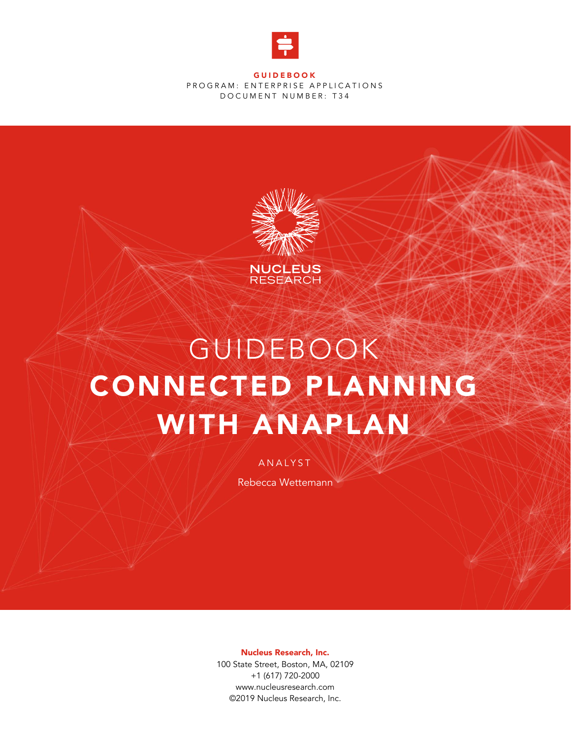

**GUIDEBOOK** PROGRAM: ENTERPRISE APPLICATIONS DOCUMENT NUMBER: T34



# GUIDEBOOK CONNECTED PLANNING WITH ANAPLAN

**ANALYST** 

Rebecca Wettemann

Nucleus Research, Inc.

100 State Street, Boston, MA, 02109 +1 (617) 720-2000 www.nucleusresearch.com ©2019 Nucleus Research, Inc.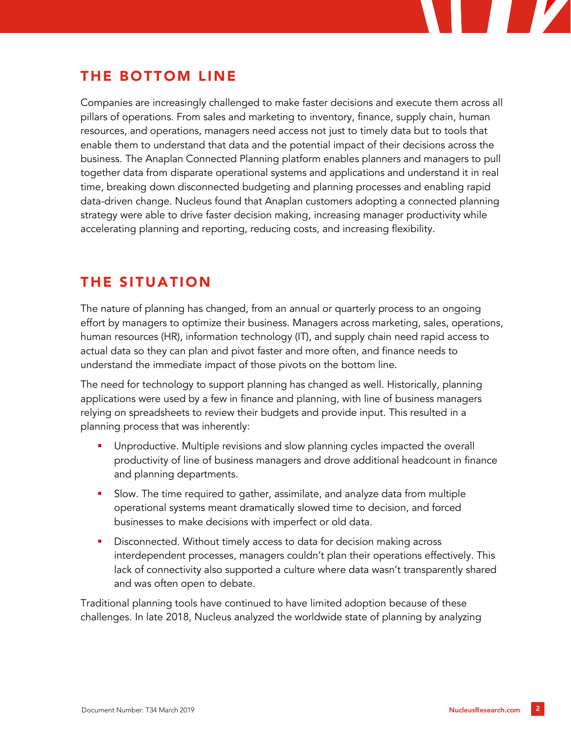## THE BOTTOM LINE

Companies are increasingly challenged to make faster decisions and execute them across all pillars of operations. From sales and marketing to inventory, finance, supply chain, human resources, and operations, managers need access not just to timely data but to tools that enable them to understand that data and the potential impact of their decisions across the business. The Anaplan Connected Planning platform enables planners and managers to pull together data from disparate operational systems and applications and understand it in real time, breaking down disconnected budgeting and planning processes and enabling rapid data-driven change. Nucleus found that Anaplan customers adopting a connected planning strategy were able to drive faster decision making, increasing manager productivity while accelerating planning and reporting, reducing costs, and increasing flexibility.

## THE SITUATION

The nature of planning has changed, from an annual or quarterly process to an ongoing effort by managers to optimize their business. Managers across marketing, sales, operations, human resources (HR), information technology (IT), and supply chain need rapid access to actual data so they can plan and pivot faster and more often, and finance needs to understand the immediate impact of those pivots on the bottom line.

The need for technology to support planning has changed as well. Historically, planning applications were used by a few in finance and planning, with line of business managers relying on spreadsheets to review their budgets and provide input. This resulted in a planning process that was inherently:

- Unproductive. Multiple revisions and slow planning cycles impacted the overall productivity of line of business managers and drove additional headcount in finance and planning departments.
- Slow. The time required to gather, assimilate, and analyze data from multiple operational systems meant dramatically slowed time to decision, and forced businesses to make decisions with imperfect or old data.
- Disconnected. Without timely access to data for decision making across interdependent processes, managers couldn't plan their operations effectively. This lack of connectivity also supported a culture where data wasn't transparently shared and was often open to debate.

Traditional planning tools have continued to have limited adoption because of these challenges. In late 2018, Nucleus analyzed the worldwide state of planning by analyzing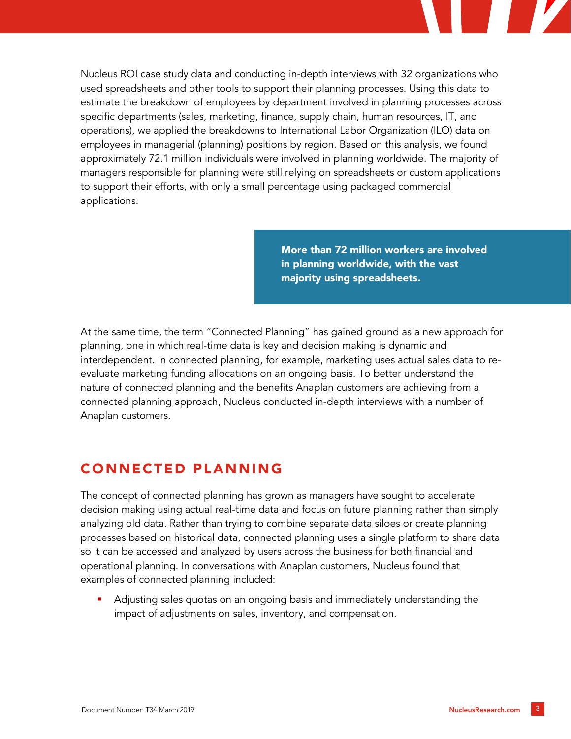

Nucleus ROI case study data and conducting in-depth interviews with 32 organizations who used spreadsheets and other tools to support their planning processes. Using this data to estimate the breakdown of employees by department involved in planning processes across specific departments (sales, marketing, finance, supply chain, human resources, IT, and operations), we applied the breakdowns to International Labor Organization (ILO) data on employees in managerial (planning) positions by region. Based on this analysis, we found approximately 72.1 million individuals were involved in planning worldwide. The majority of managers responsible for planning were still relying on spreadsheets or custom applications to support their efforts, with only a small percentage using packaged commercial applications.

> More than 72 million workers are involved in planning worldwide, with the vast majority using spreadsheets.

At the same time, the term "Connected Planning" has gained ground as a new approach for planning, one in which real-time data is key and decision making is dynamic and interdependent. In connected planning, for example, marketing uses actual sales data to reevaluate marketing funding allocations on an ongoing basis. To better understand the nature of connected planning and the benefits Anaplan customers are achieving from a connected planning approach, Nucleus conducted in-depth interviews with a number of Anaplan customers.

# CONNECTED PLANNING

The concept of connected planning has grown as managers have sought to accelerate decision making using actual real-time data and focus on future planning rather than simply analyzing old data. Rather than trying to combine separate data siloes or create planning processes based on historical data, connected planning uses a single platform to share data so it can be accessed and analyzed by users across the business for both financial and operational planning. In conversations with Anaplan customers, Nucleus found that examples of connected planning included:

Adjusting sales quotas on an ongoing basis and immediately understanding the impact of adjustments on sales, inventory, and compensation.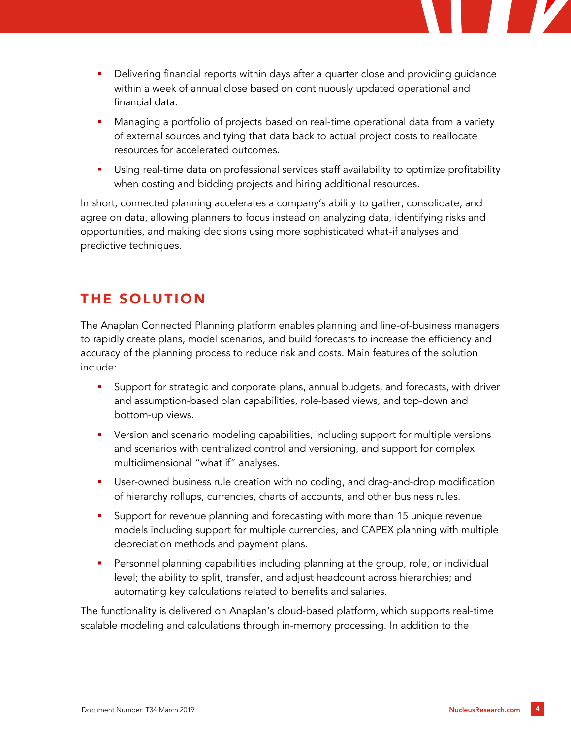- **•** Delivering financial reports within days after a quarter close and providing guidance within a week of annual close based on continuously updated operational and financial data.
- Managing a portfolio of projects based on real-time operational data from a variety of external sources and tying that data back to actual project costs to reallocate resources for accelerated outcomes.
- **■** Using real-time data on professional services staff availability to optimize profitability when costing and bidding projects and hiring additional resources.

In short, connected planning accelerates a company's ability to gather, consolidate, and agree on data, allowing planners to focus instead on analyzing data, identifying risks and opportunities, and making decisions using more sophisticated what-if analyses and predictive techniques.

# THE SOLUTION

The Anaplan Connected Planning platform enables planning and line-of-business managers to rapidly create plans, model scenarios, and build forecasts to increase the efficiency and accuracy of the planning process to reduce risk and costs. Main features of the solution include:

- **•** Support for strategic and corporate plans, annual budgets, and forecasts, with driver and assumption-based plan capabilities, role-based views, and top-down and bottom-up views.
- **•** Version and scenario modeling capabilities, including support for multiple versions and scenarios with centralized control and versioning, and support for complex multidimensional "what if" analyses.
- **■** User-owned business rule creation with no coding, and drag-and-drop modification of hierarchy rollups, currencies, charts of accounts, and other business rules.
- **•** Support for revenue planning and forecasting with more than 15 unique revenue models including support for multiple currencies, and CAPEX planning with multiple depreciation methods and payment plans.
- Personnel planning capabilities including planning at the group, role, or individual level; the ability to split, transfer, and adjust headcount across hierarchies; and automating key calculations related to benefits and salaries.

The functionality is delivered on Anaplan's cloud-based platform, which supports real-time scalable modeling and calculations through in-memory processing. In addition to the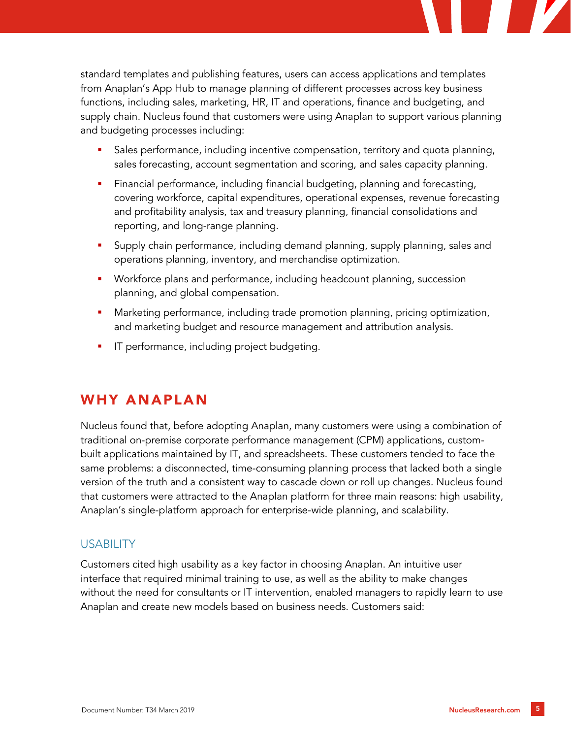standard templates and publishing features, users can access applications and templates from Anaplan's App Hub to manage planning of different processes across key business functions, including sales, marketing, HR, IT and operations, finance and budgeting, and supply chain. Nucleus found that customers were using Anaplan to support various planning and budgeting processes including:

- Sales performance, including incentive compensation, territory and quota planning, sales forecasting, account segmentation and scoring, and sales capacity planning.
- **Example Financial performance, including financial budgeting, planning and forecasting,** covering workforce, capital expenditures, operational expenses, revenue forecasting and profitability analysis, tax and treasury planning, financial consolidations and reporting, and long-range planning.
- **E** Supply chain performance, including demand planning, supply planning, sales and operations planning, inventory, and merchandise optimization.
- Workforce plans and performance, including headcount planning, succession planning, and global compensation.
- Marketing performance, including trade promotion planning, pricing optimization, and marketing budget and resource management and attribution analysis.
- **·** IT performance, including project budgeting.

## WHY ANAPLAN

Nucleus found that, before adopting Anaplan, many customers were using a combination of traditional on-premise corporate performance management (CPM) applications, custombuilt applications maintained by IT, and spreadsheets. These customers tended to face the same problems: a disconnected, time-consuming planning process that lacked both a single version of the truth and a consistent way to cascade down or roll up changes. Nucleus found that customers were attracted to the Anaplan platform for three main reasons: high usability, Anaplan's single-platform approach for enterprise-wide planning, and scalability.

#### **USABILITY**

Customers cited high usability as a key factor in choosing Anaplan. An intuitive user interface that required minimal training to use, as well as the ability to make changes without the need for consultants or IT intervention, enabled managers to rapidly learn to use Anaplan and create new models based on business needs. Customers said: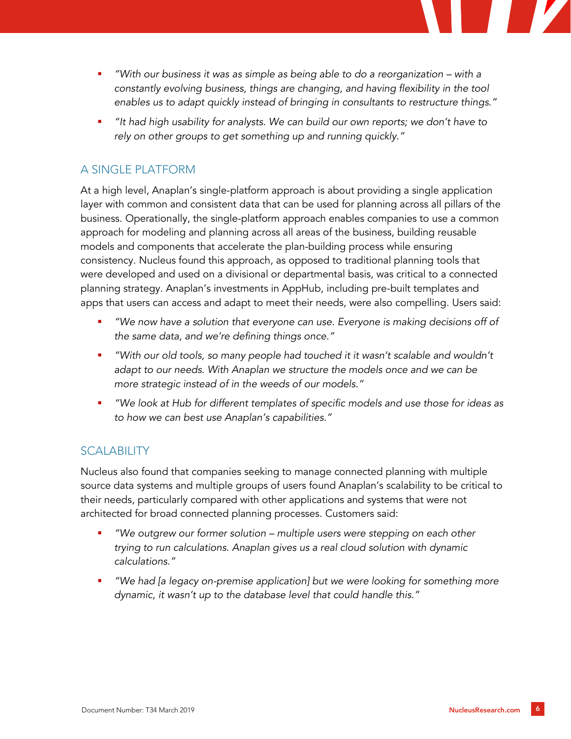- *"With our business it was as simple as being able to do a reorganization with a constantly evolving business, things are changing, and having flexibility in the tool enables us to adapt quickly instead of bringing in consultants to restructure things."*
- *"It had high usability for analysts. We can build our own reports; we don't have to rely on other groups to get something up and running quickly."*

#### A SINGLE PLATFORM

At a high level, Anaplan's single-platform approach is about providing a single application layer with common and consistent data that can be used for planning across all pillars of the business. Operationally, the single-platform approach enables companies to use a common approach for modeling and planning across all areas of the business, building reusable models and components that accelerate the plan-building process while ensuring consistency. Nucleus found this approach, as opposed to traditional planning tools that were developed and used on a divisional or departmental basis, was critical to a connected planning strategy. Anaplan's investments in AppHub, including pre-built templates and apps that users can access and adapt to meet their needs, were also compelling. Users said:

- "We now have a solution that everyone can use. Everyone is making decisions off of *the same data, and we're defining things once."*
- *"With our old tools, so many people had touched it it wasn't scalable and wouldn't*  adapt to our needs. With Anaplan we structure the models once and we can be *more strategic instead of in the weeds of our models."*
- *"We look at Hub for different templates of specific models and use those for ideas as to how we can best use Anaplan's capabilities."*

#### SCALABILITY

Nucleus also found that companies seeking to manage connected planning with multiple source data systems and multiple groups of users found Anaplan's scalability to be critical to their needs, particularly compared with other applications and systems that were not architected for broad connected planning processes. Customers said:

- *"We outgrew our former solution – multiple users were stepping on each other trying to run calculations. Anaplan gives us a real cloud solution with dynamic calculations."*
- *"We had [a legacy on-premise application] but we were looking for something more dynamic, it wasn't up to the database level that could handle this."*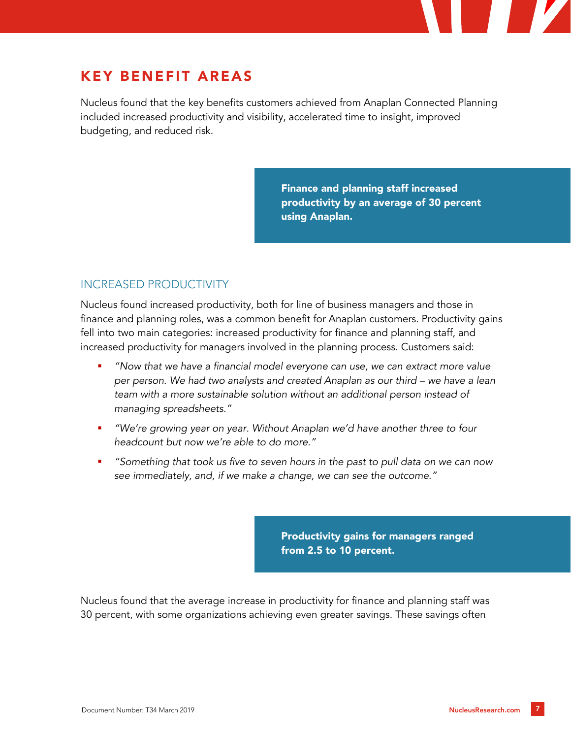## KEY BENEFIT AREAS

Nucleus found that the key benefits customers achieved from Anaplan Connected Planning included increased productivity and visibility, accelerated time to insight, improved budgeting, and reduced risk.

> Finance and planning staff increased productivity by an average of 30 percent using Anaplan.

#### INCREASED PRODUCTIVITY

Nucleus found increased productivity, both for line of business managers and those in finance and planning roles, was a common benefit for Anaplan customers. Productivity gains fell into two main categories: increased productivity for finance and planning staff, and increased productivity for managers involved in the planning process. Customers said:

- *"Now that we have a financial model everyone can use, we can extract more value per person. We had two analysts and created Anaplan as our third – we have a lean team with a more sustainable solution without an additional person instead of managing spreadsheets."*
- *"We're growing year on year. Without Anaplan we'd have another three to four headcount but now we're able to do more."*
- *"Something that took us five to seven hours in the past to pull data on we can now see immediately, and, if we make a change, we can see the outcome."*

Productivity gains for managers ranged from 2.5 to 10 percent.

Nucleus found that the average increase in productivity for finance and planning staff was 30 percent, with some organizations achieving even greater savings. These savings often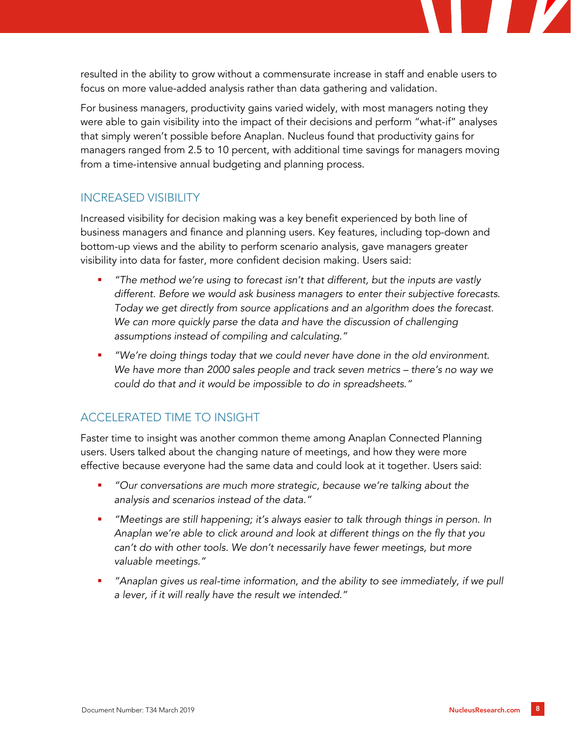resulted in the ability to grow without a commensurate increase in staff and enable users to focus on more value-added analysis rather than data gathering and validation.

For business managers, productivity gains varied widely, with most managers noting they were able to gain visibility into the impact of their decisions and perform "what-if" analyses that simply weren't possible before Anaplan. Nucleus found that productivity gains for managers ranged from 2.5 to 10 percent, with additional time savings for managers moving from a time-intensive annual budgeting and planning process.

#### INCREASED VISIBILITY

Increased visibility for decision making was a key benefit experienced by both line of business managers and finance and planning users. Key features, including top-down and bottom-up views and the ability to perform scenario analysis, gave managers greater visibility into data for faster, more confident decision making. Users said:

- *"The method we're using to forecast isn't that different, but the inputs are vastly different. Before we would ask business managers to enter their subjective forecasts. Today we get directly from source applications and an algorithm does the forecast.*  We can more quickly parse the data and have the discussion of challenging *assumptions instead of compiling and calculating."*
- *"We're doing things today that we could never have done in the old environment. We have more than 2000 sales people and track seven metrics – there's no way we could do that and it would be impossible to do in spreadsheets."*

#### ACCELERATED TIME TO INSIGHT

Faster time to insight was another common theme among Anaplan Connected Planning users. Users talked about the changing nature of meetings, and how they were more effective because everyone had the same data and could look at it together. Users said:

- *"Our conversations are much more strategic, because we're talking about the analysis and scenarios instead of the data."*
- *"Meetings are still happening; it's always easier to talk through things in person. In Anaplan we're able to click around and look at different things on the fly that you can't do with other tools. We don't necessarily have fewer meetings, but more valuable meetings."*
- *"Anaplan gives us real-time information, and the ability to see immediately, if we pull a lever, if it will really have the result we intended."*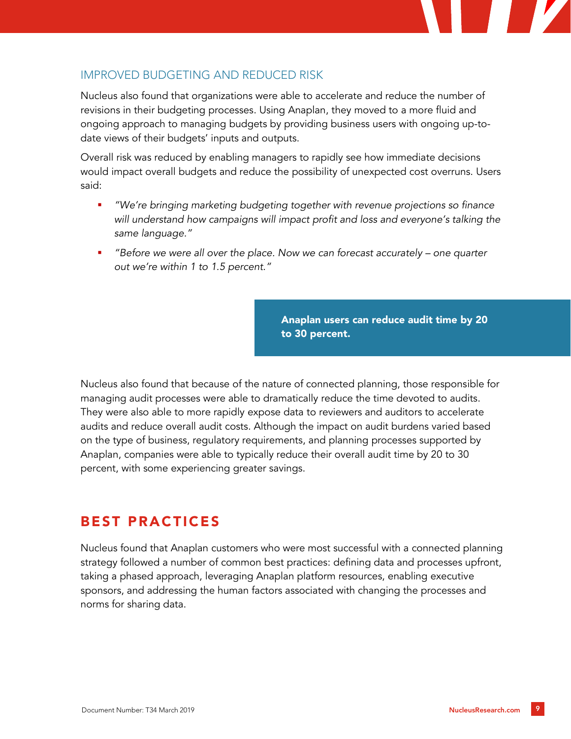#### IMPROVED BUDGETING AND REDUCED RISK

Nucleus also found that organizations were able to accelerate and reduce the number of revisions in their budgeting processes. Using Anaplan, they moved to a more fluid and ongoing approach to managing budgets by providing business users with ongoing up-todate views of their budgets' inputs and outputs.

Overall risk was reduced by enabling managers to rapidly see how immediate decisions would impact overall budgets and reduce the possibility of unexpected cost overruns. Users said:

- *"We're bringing marketing budgeting together with revenue projections so finance will understand how campaigns will impact profit and loss and everyone's talking the same language."*
- *"Before we were all over the place. Now we can forecast accurately – one quarter out we're within 1 to 1.5 percent."*

Anaplan users can reduce audit time by 20 to 30 percent.

Nucleus also found that because of the nature of connected planning, those responsible for managing audit processes were able to dramatically reduce the time devoted to audits. They were also able to more rapidly expose data to reviewers and auditors to accelerate audits and reduce overall audit costs. Although the impact on audit burdens varied based on the type of business, regulatory requirements, and planning processes supported by Anaplan, companies were able to typically reduce their overall audit time by 20 to 30 percent, with some experiencing greater savings.

## BEST PRACTICES

Nucleus found that Anaplan customers who were most successful with a connected planning strategy followed a number of common best practices: defining data and processes upfront, taking a phased approach, leveraging Anaplan platform resources, enabling executive sponsors, and addressing the human factors associated with changing the processes and norms for sharing data.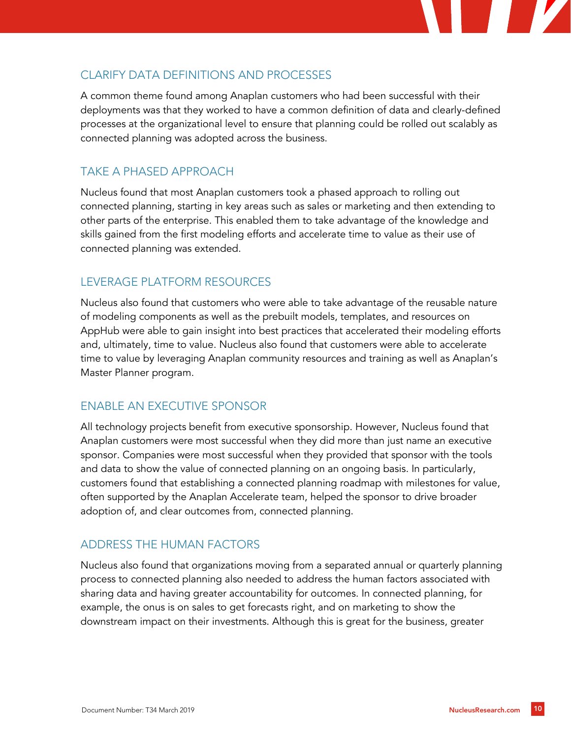### CLARIFY DATA DEFINITIONS AND PROCESSES

A common theme found among Anaplan customers who had been successful with their deployments was that they worked to have a common definition of data and clearly-defined processes at the organizational level to ensure that planning could be rolled out scalably as connected planning was adopted across the business.

#### TAKE A PHASED APPROACH

Nucleus found that most Anaplan customers took a phased approach to rolling out connected planning, starting in key areas such as sales or marketing and then extending to other parts of the enterprise. This enabled them to take advantage of the knowledge and skills gained from the first modeling efforts and accelerate time to value as their use of connected planning was extended.

#### LEVERAGE PLATFORM RESOURCES

Nucleus also found that customers who were able to take advantage of the reusable nature of modeling components as well as the prebuilt models, templates, and resources on AppHub were able to gain insight into best practices that accelerated their modeling efforts and, ultimately, time to value. Nucleus also found that customers were able to accelerate time to value by leveraging Anaplan community resources and training as well as Anaplan's Master Planner program.

#### ENABLE AN EXECUTIVE SPONSOR

All technology projects benefit from executive sponsorship. However, Nucleus found that Anaplan customers were most successful when they did more than just name an executive sponsor. Companies were most successful when they provided that sponsor with the tools and data to show the value of connected planning on an ongoing basis. In particularly, customers found that establishing a connected planning roadmap with milestones for value, often supported by the Anaplan Accelerate team, helped the sponsor to drive broader adoption of, and clear outcomes from, connected planning.

#### ADDRESS THE HUMAN FACTORS

Nucleus also found that organizations moving from a separated annual or quarterly planning process to connected planning also needed to address the human factors associated with sharing data and having greater accountability for outcomes. In connected planning, for example, the onus is on sales to get forecasts right, and on marketing to show the downstream impact on their investments. Although this is great for the business, greater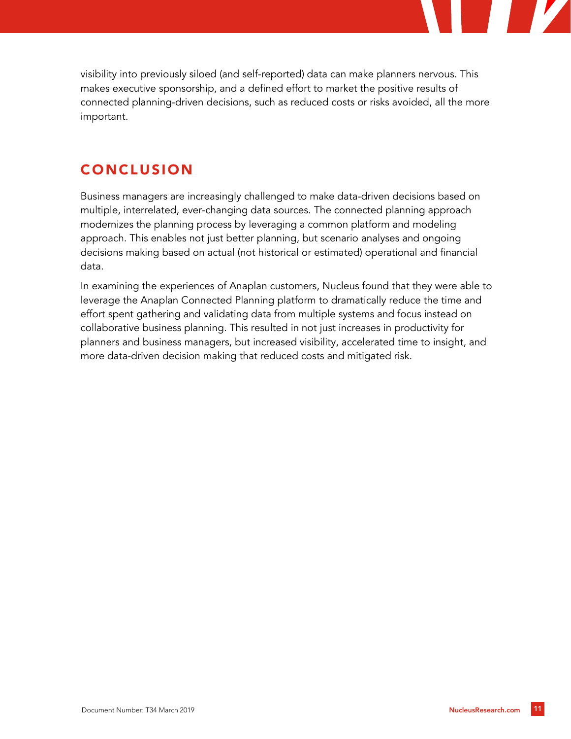visibility into previously siloed (and self-reported) data can make planners nervous. This makes executive sponsorship, and a defined effort to market the positive results of connected planning-driven decisions, such as reduced costs or risks avoided, all the more important.

## CONCLUSION

Business managers are increasingly challenged to make data-driven decisions based on multiple, interrelated, ever-changing data sources. The connected planning approach modernizes the planning process by leveraging a common platform and modeling approach. This enables not just better planning, but scenario analyses and ongoing decisions making based on actual (not historical or estimated) operational and financial data.

In examining the experiences of Anaplan customers, Nucleus found that they were able to leverage the Anaplan Connected Planning platform to dramatically reduce the time and effort spent gathering and validating data from multiple systems and focus instead on collaborative business planning. This resulted in not just increases in productivity for planners and business managers, but increased visibility, accelerated time to insight, and more data-driven decision making that reduced costs and mitigated risk.